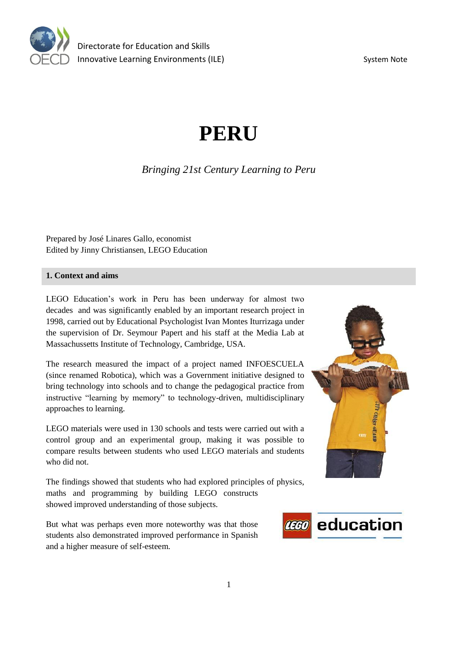

# **PERU**

# *Bringing 21st Century Learning to Peru*

Prepared by José Linares Gallo, economist Edited by Jinny Christiansen, LEGO Education

#### **1. Context and aims**

LEGO Education's work in Peru has been underway for almost two decades and was significantly enabled by an important research project in 1998, carried out by Educational Psychologist Ivan Montes Iturrizaga under the supervision of Dr. Seymour Papert and his staff at the Media Lab at Massachussetts Institute of Technology, Cambridge, USA.

The research measured the impact of a project named INFOESCUELA (since renamed Robotica), which was a Government initiative designed to bring technology into schools and to change the pedagogical practice from instructive "learning by memory" to technology-driven, multidisciplinary approaches to learning.

LEGO materials were used in 130 schools and tests were carried out with a control group and an experimental group, making it was possible to compare results between students who used LEGO materials and students who did not.

The findings showed that students who had explored principles of physics, maths and programming by building LEGO constructs showed improved understanding of those subjects.

But what was perhaps even more noteworthy was that those students also demonstrated improved performance in Spanish and a higher measure of self-esteem.



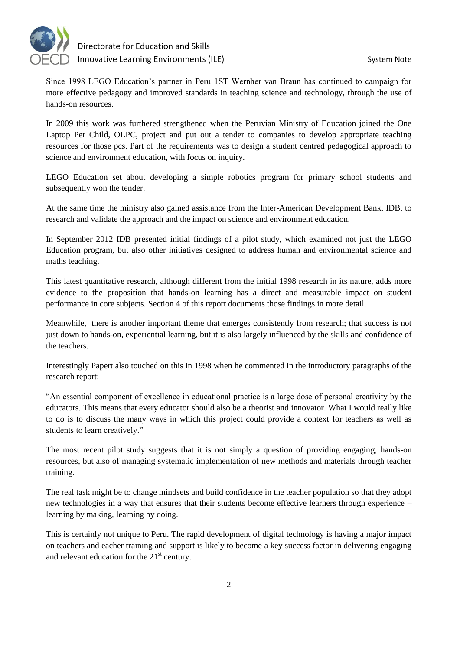

Since 1998 LEGO Education's partner in Peru 1ST Wernher van Braun has continued to campaign for more effective pedagogy and improved standards in teaching science and technology, through the use of hands-on resources.

In 2009 this work was furthered strengthened when the Peruvian Ministry of Education joined the One Laptop Per Child, OLPC, project and put out a tender to companies to develop appropriate teaching resources for those pcs. Part of the requirements was to design a student centred pedagogical approach to science and environment education, with focus on inquiry.

LEGO Education set about developing a simple robotics program for primary school students and subsequently won the tender.

At the same time the ministry also gained assistance from the Inter-American Development Bank, IDB, to research and validate the approach and the impact on science and environment education.

In September 2012 IDB presented initial findings of a pilot study, which examined not just the LEGO Education program, but also other initiatives designed to address human and environmental science and maths teaching.

This latest quantitative research, although different from the initial 1998 research in its nature, adds more evidence to the proposition that hands-on learning has a direct and measurable impact on student performance in core subjects. Section 4 of this report documents those findings in more detail.

Meanwhile, there is another important theme that emerges consistently from research; that success is not just down to hands-on, experiential learning, but it is also largely influenced by the skills and confidence of the teachers.

Interestingly Papert also touched on this in 1998 when he commented in the introductory paragraphs of the research report:

"An essential component of excellence in educational practice is a large dose of personal creativity by the educators. This means that every educator should also be a theorist and innovator. What I would really like to do is to discuss the many ways in which this project could provide a context for teachers as well as students to learn creatively."

The most recent pilot study suggests that it is not simply a question of providing engaging, hands-on resources, but also of managing systematic implementation of new methods and materials through teacher training.

The real task might be to change mindsets and build confidence in the teacher population so that they adopt new technologies in a way that ensures that their students become effective learners through experience – learning by making, learning by doing.

This is certainly not unique to Peru. The rapid development of digital technology is having a major impact on teachers and eacher training and support is likely to become a key success factor in delivering engaging and relevant education for the  $21<sup>st</sup>$  century.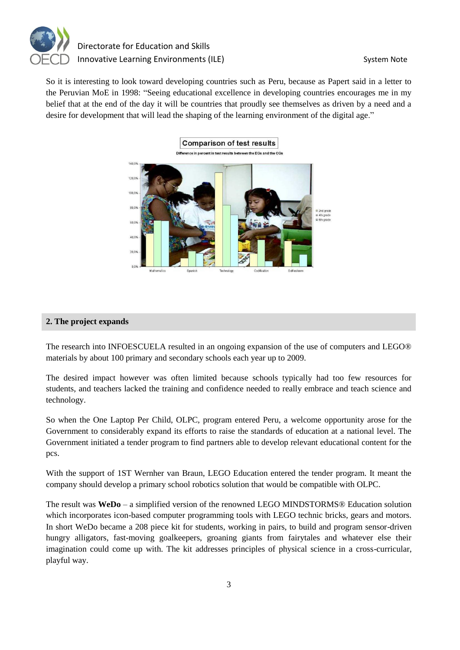

So it is interesting to look toward developing countries such as Peru, because as Papert said in a letter to the Peruvian MoE in 1998: "Seeing educational excellence in developing countries encourages me in my belief that at the end of the day it will be countries that proudly see themselves as driven by a need and a desire for development that will lead the shaping of the learning environment of the digital age."



#### **2. The project expands**

The research into INFOESCUELA resulted in an ongoing expansion of the use of computers and LEGO® materials by about 100 primary and secondary schools each year up to 2009.

The desired impact however was often limited because schools typically had too few resources for students, and teachers lacked the training and confidence needed to really embrace and teach science and technology.

So when the One Laptop Per Child, OLPC, program entered Peru, a welcome opportunity arose for the Government to considerably expand its efforts to raise the standards of education at a national level. The Government initiated a tender program to find partners able to develop relevant educational content for the pcs.

With the support of 1ST Wernher van Braun, LEGO Education entered the tender program. It meant the company should develop a primary school robotics solution that would be compatible with OLPC.

The result was **WeDo** – a simplified version of the renowned LEGO MINDSTORMS® Education solution which incorporates icon-based computer programming tools with LEGO technic bricks, gears and motors. In short WeDo became a 208 piece kit for students, working in pairs, to build and program sensor-driven hungry alligators, fast-moving goalkeepers, groaning giants from fairytales and whatever else their imagination could come up with. The kit addresses principles of physical science in a cross-curricular, playful way.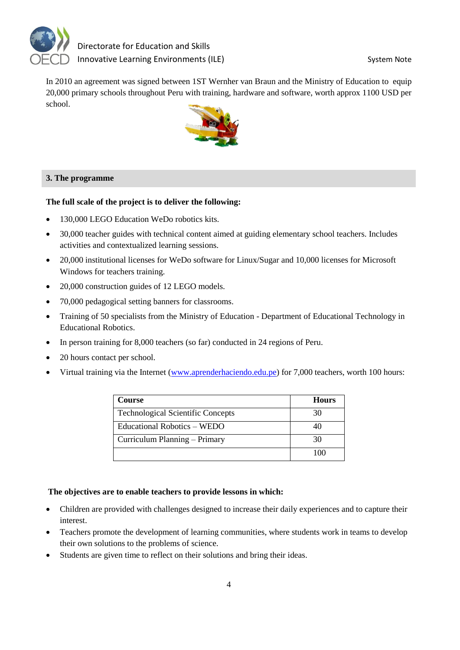

In 2010 an agreement was signed between 1ST Wernher van Braun and the Ministry of Education to equip 20,000 primary schools throughout Peru with training, hardware and software, worth approx 1100 USD per school.



## **3. The programme**

#### **The full scale of the project is to deliver the following:**

- 130,000 LEGO Education WeDo robotics kits.
- 30,000 teacher guides with technical content aimed at guiding elementary school teachers. Includes activities and contextualized learning sessions.
- 20,000 institutional licenses for WeDo software for Linux/Sugar and 10,000 licenses for Microsoft Windows for teachers training.
- 20,000 construction guides of 12 LEGO models.
- 70,000 pedagogical setting banners for classrooms.
- Training of 50 specialists from the Ministry of Education Department of Educational Technology in Educational Robotics.
- In person training for 8,000 teachers (so far) conducted in 24 regions of Peru.
- 20 hours contact per school.
- Virtual training via the Internet [\(www.aprenderhaciendo.edu.pe\)](http://www.google.com/url?q=http%3A%2F%2Fwww.aprenderhaciendo.edu.pe&sa=D&sntz=1&usg=AFQjCNHyHU7KLekoFU7_aDmuZETf_AFxag) for 7,000 teachers, worth 100 hours:

| <b>Course</b>                            | <b>Hours</b> |
|------------------------------------------|--------------|
| <b>Technological Scientific Concepts</b> | 30           |
| Educational Robotics – WEDO              | 40           |
| Curriculum Planning – Primary            | 30           |
|                                          | 100          |

#### **The objectives are to enable teachers to provide lessons in which:**

- Children are provided with challenges designed to increase their daily experiences and to capture their interest.
- Teachers promote the development of learning communities, where students work in teams to develop their own solutions to the problems of science.
- Students are given time to reflect on their solutions and bring their ideas.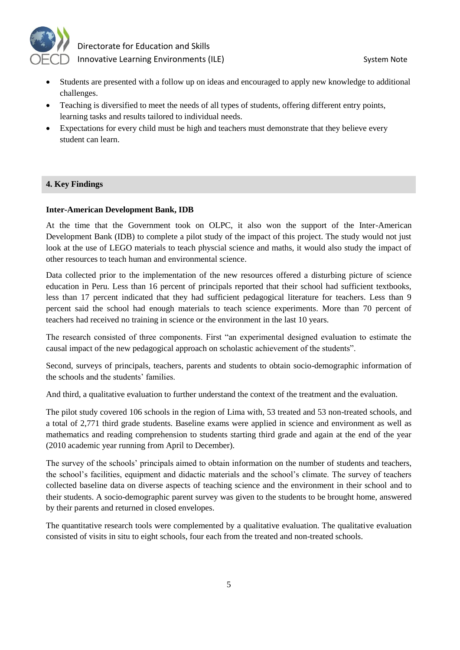

- Students are presented with a follow up on ideas and encouraged to apply new knowledge to additional challenges.
- Teaching is diversified to meet the needs of all types of students, offering different entry points, learning tasks and results tailored to individual needs.
- Expectations for every child must be high and teachers must demonstrate that they believe every student can learn.

#### **4. Key Findings**

#### **Inter-American Development Bank, IDB**

At the time that the Government took on OLPC, it also won the support of the Inter-American Development Bank (IDB) to complete a pilot study of the impact of this project. The study would not just look at the use of LEGO materials to teach physcial science and maths, it would also study the impact of other resources to teach human and environmental science.

Data collected prior to the implementation of the new resources offered a disturbing picture of science education in Peru. Less than 16 percent of principals reported that their school had sufficient textbooks, less than 17 percent indicated that they had sufficient pedagogical literature for teachers. Less than 9 percent said the school had enough materials to teach science experiments. More than 70 percent of teachers had received no training in science or the environment in the last 10 years.

The research consisted of three components. First "an experimental designed evaluation to estimate the causal impact of the new pedagogical approach on scholastic achievement of the students".

Second, surveys of principals, teachers, parents and students to obtain socio-demographic information of the schools and the students' families.

And third, a qualitative evaluation to further understand the context of the treatment and the evaluation.

The pilot study covered 106 schools in the region of Lima with, 53 treated and 53 non-treated schools, and a total of 2,771 third grade students. Baseline exams were applied in science and environment as well as mathematics and reading comprehension to students starting third grade and again at the end of the year (2010 academic year running from April to December).

The survey of the schools' principals aimed to obtain information on the number of students and teachers, the school's facilities, equipment and didactic materials and the school's climate. The survey of teachers collected baseline data on diverse aspects of teaching science and the environment in their school and to their students. A socio-demographic parent survey was given to the students to be brought home, answered by their parents and returned in closed envelopes.

The quantitative research tools were complemented by a qualitative evaluation. The qualitative evaluation consisted of visits in situ to eight schools, four each from the treated and non-treated schools.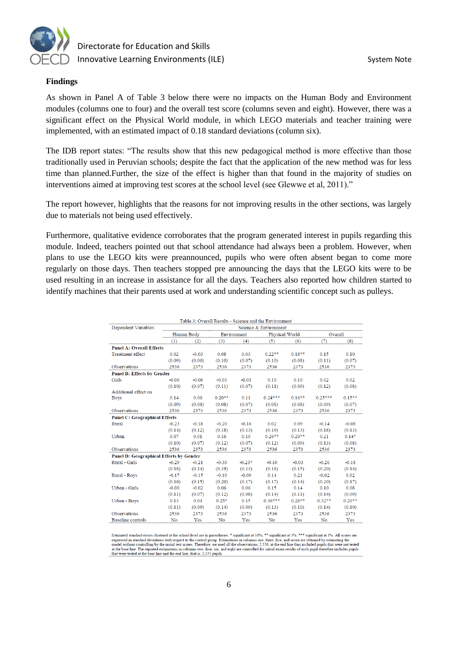

#### **Findings**

As shown in Panel A of Table 3 below there were no impacts on the Human Body and Environment modules (columns one to four) and the overall test score (columns seven and eight). However, there was a significant effect on the Physical World module, in which LEGO materials and teacher training were implemented, with an estimated impact of 0.18 standard deviations (column six).

The IDB report states: "The results show that this new pedagogical method is more effective than those traditionally used in Peruvian schools; despite the fact that the application of the new method was for less time than planned.Further, the size of the effect is higher than that found in the majority of studies on interventions aimed at improving test scores at the school level (see Glewwe et al, 2011)."

The report however, highlights that the reasons for not improving results in the other sections, was largely due to materials not being used effectively.

Furthermore, qualitative evidence corroborates that the program generated interest in pupils regarding this module. Indeed, teachers pointed out that school attendance had always been a problem. However, when plans to use the LEGO kits were preannounced, pupils who were often absent began to come more regularly on those days. Then teachers stopped pre announcing the days that the LEGO kits were to be used resulting in an increase in assistance for all the days. Teachers also reported how children started to identify machines that their parents used at work and understanding scientific concept such as pulleys.

|                                         | Table 3: Overall Results - Science and the Environment |         |             |          |                |          |           |           |  |
|-----------------------------------------|--------------------------------------------------------|---------|-------------|----------|----------------|----------|-----------|-----------|--|
| Dependent Variables:                    | Science & Environment                                  |         |             |          |                |          |           |           |  |
|                                         | Human Body                                             |         | Environment |          | Physical World |          | Overall   |           |  |
|                                         | (1)                                                    | (2)     | (3)         | (4)      | (5)            | (6)      | (7)       | (8)       |  |
| <b>Panel A: Overall Effects</b>         |                                                        |         |             |          |                |          |           |           |  |
| <b>Treatment effect</b>                 | 0.02                                                   | $-0.03$ | 0.08        | 0.03     | $0.22**$       | $0.18**$ | 0.15      | 0.10      |  |
|                                         | (0.09)                                                 | (0.06)  | (0.10)      | (0.07)   | (0.10)         | (0.08)   | (0.11)    | (0.07)    |  |
| Observations                            | 2536                                                   | 2373    | 2536        | 2373     | 2536           | 2373     | 2536      | 2373      |  |
| Panel B: Effects by Gender              |                                                        |         |             |          |                |          |           |           |  |
| Girls                                   | $-0.06$                                                | $-0.06$ | $-0.03$     | $-0.03$  | 0.10           | 0.10     | 0.02      | 0.02      |  |
|                                         | (0.10)                                                 | (0.07)  | (0.11)      | (0.07)   | (0.11)         | (0.09)   | (0.12)    | (0.08)    |  |
| Additional effect on                    |                                                        |         |             |          |                |          |           |           |  |
| <b>Boys</b>                             | 0.14                                                   | 0.06    | $0.20**$    | 0.11     | $0.24***$      | $0.16**$ | $0.25***$ | $0.15***$ |  |
|                                         | (0.09)                                                 | (0.08)  | (0.08)      | (0.07)   | (0.08)         | (0.08)   | (0.09)    | (0.07)    |  |
| Observations                            | 2536                                                   | 2373    | 2536        | 2373     | 2536           | 2373     | 2536      | 2373      |  |
| <b>Panel C: Geographical Effects</b>    |                                                        |         |             |          |                |          |           |           |  |
| Rural                                   | $-0.23$                                                | $-0.18$ | $-0.20$     | $-0.16$  | 0.02           | 0.09     | $-0.14$   | $-0.08$   |  |
|                                         | (0.14)                                                 | (0.12)  | (0.18)      | (0.13)   | (0.16)         | (0.13)   | (0.18)    | (0.13)    |  |
| Urban                                   | 0.07                                                   | 0.01    | 0.16        | 0.10     | $0.26**$       | $0.20**$ | 0.21      | $0.14*$   |  |
|                                         | (0.10)                                                 | (0.07)  | (0.12)      | (0.07)   | (0.12)         | (0.09)   | (0.13)    | (0.08)    |  |
| Observations                            | 2536                                                   | 2373    | 2536        | 2373     | 2536           | 2373     | 2536      | 2373      |  |
| Panel D: Geographical Effects by Gender |                                                        |         |             |          |                |          |           |           |  |
| Rural - Girls                           | $-0.29$                                                | $-0.21$ | $-0.30$     | $-0.23*$ | $-0.10$        | $-0.03$  | $-0.26$   | $-0.18$   |  |
|                                         | (0.18)                                                 | (0.14)  | (0.19)      | (0.13)   | (0.18)         | (0.15)   | (0.20)    | (0.14)    |  |
| Rural - Boys                            | $-0.17$                                                | $-0.15$ | $-0.10$     | $-0.09$  | 0.14           | 0.21     | $-0.02$   | 0.02      |  |
|                                         | (0.16)                                                 | (0.15)  | (0.20)      | (0.17)   | (0.17)         | (0.14)   | (0.20)    | (0.17)    |  |
| Urban - Girls                           | $-0.00$                                                | $-0.02$ | 0.06        | 0.06     | 0.15           | 0.14     | 0.10      | 0.08      |  |
|                                         | (0.11)                                                 | (0.07)  | (0.12)      | (0.08)   | (0.14)         | (0.11)   | (0.14)    | (0.09)    |  |
| Urban - Boys                            | 0.13                                                   | 0.04    | $0.25*$     | 0.15     | $0.36***$      | $0.26**$ | $0.32**$  | $0.20**$  |  |
|                                         | (0.11)                                                 | (0.09)  | (0.14)      | (0.09)   | (0.13)         | (0.10)   | (0.14)    | (0.10)    |  |
| Observations                            | 2536                                                   | 2373    | 2536        | 2373     | 2536           | 2373     | 2536      | 2373      |  |
| Baseline controls                       | No                                                     | Yes     | No          | Yes      | No             | Yes      | No        | Yes       |  |

standard errors clustered at the school level are in parentheses. \* significant at 10%; \*\* significant at 5%; \*\*\* significant at 1%. All scores are expressed in standard deviations with respect to the control group. Estimations in columns one, three, five, and seven are obtained by estimating the model without controlling by the initial test scores. Therefore, we used at the base line. The reported estimations in columns two, four, six, and eight are controlled for initial exam results of each pupil therefore includes pupils that were tested at the base line and the end line, that is, 2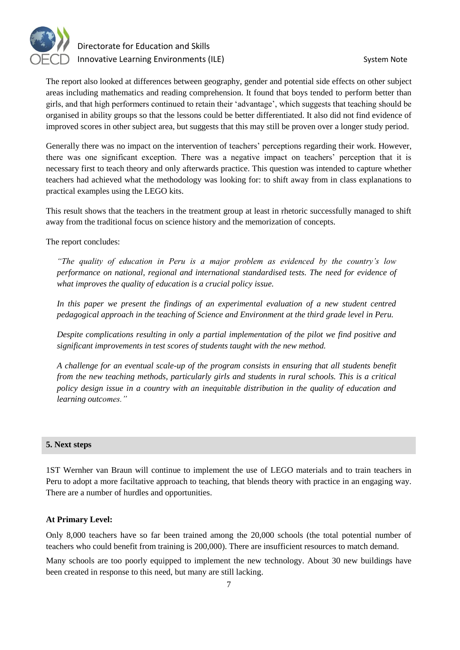

The report also looked at differences between geography, gender and potential side effects on other subject areas including mathematics and reading comprehension. It found that boys tended to perform better than girls, and that high performers continued to retain their 'advantage', which suggests that teaching should be organised in ability groups so that the lessons could be better differentiated. It also did not find evidence of improved scores in other subject area, but suggests that this may still be proven over a longer study period.

Generally there was no impact on the intervention of teachers' perceptions regarding their work. However, there was one significant exception. There was a negative impact on teachers' perception that it is necessary first to teach theory and only afterwards practice. This question was intended to capture whether teachers had achieved what the methodology was looking for: to shift away from in class explanations to practical examples using the LEGO kits.

This result shows that the teachers in the treatment group at least in rhetoric successfully managed to shift away from the traditional focus on science history and the memorization of concepts.

The report concludes:

*"The quality of education in Peru is a major problem as evidenced by the country's low performance on national, regional and international standardised tests. The need for evidence of what improves the quality of education is a crucial policy issue.*

In this paper we present the findings of an experimental evaluation of a new student centred *pedagogical approach in the teaching of Science and Environment at the third grade level in Peru.* 

*Despite complications resulting in only a partial implementation of the pilot we find positive and significant improvements in test scores of students taught with the new method.*

*A challenge for an eventual scale-up of the program consists in ensuring that all students benefit from the new teaching methods, particularly girls and students in rural schools. This is a critical policy design issue in a country with an inequitable distribution in the quality of education and learning outcomes."*

#### **5. Next steps**

1ST Wernher van Braun will continue to implement the use of LEGO materials and to train teachers in Peru to adopt a more faciltative approach to teaching, that blends theory with practice in an engaging way. There are a number of hurdles and opportunities.

#### **At Primary Level:**

Only 8,000 teachers have so far been trained among the 20,000 schools (the total potential number of teachers who could benefit from training is 200,000). There are insufficient resources to match demand.

Many schools are too poorly equipped to implement the new technology. About 30 new buildings have been created in response to this need, but many are still lacking.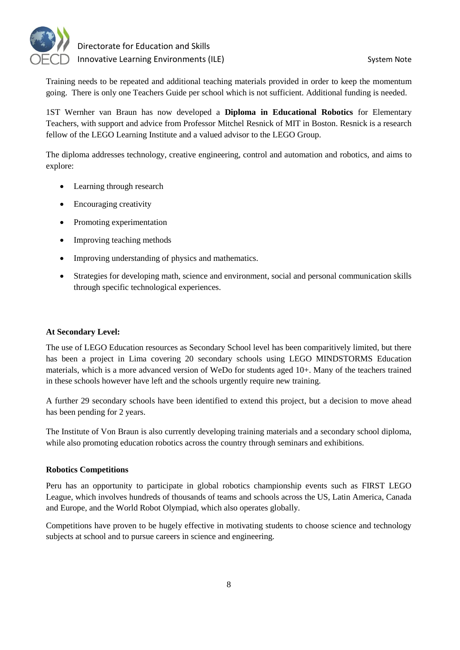

Training needs to be repeated and additional teaching materials provided in order to keep the momentum going. There is only one Teachers Guide per school which is not sufficient. Additional funding is needed.

1ST Wernher van Braun has now developed a **Diploma in Educational Robotics** for Elementary Teachers, with support and advice from Professor Mitchel Resnick of MIT in Boston. Resnick is a research fellow of the LEGO Learning Institute and a valued advisor to the LEGO Group.

The diploma addresses technology, creative engineering, control and automation and robotics, and aims to explore:

- Learning through research
- Encouraging creativity
- Promoting experimentation
- Improving teaching methods
- Improving understanding of physics and mathematics.
- Strategies for developing math, science and environment, social and personal communication skills through specific technological experiences.

#### **At Secondary Level:**

The use of LEGO Education resources as Secondary School level has been comparitively limited, but there has been a project in Lima covering 20 secondary schools using LEGO MINDSTORMS Education materials, which is a more advanced version of WeDo for students aged 10+. Many of the teachers trained in these schools however have left and the schools urgently require new training.

A further 29 secondary schools have been identified to extend this project, but a decision to move ahead has been pending for 2 years.

The Institute of Von Braun is also currently developing training materials and a secondary school diploma, while also promoting education robotics across the country through seminars and exhibitions.

#### **Robotics Competitions**

Peru has an opportunity to participate in global robotics championship events such as FIRST LEGO League, which involves hundreds of thousands of teams and schools across the US, Latin America, Canada and Europe, and the World Robot Olympiad, which also operates globally.

Competitions have proven to be hugely effective in motivating students to choose science and technology subjects at school and to pursue careers in science and engineering.